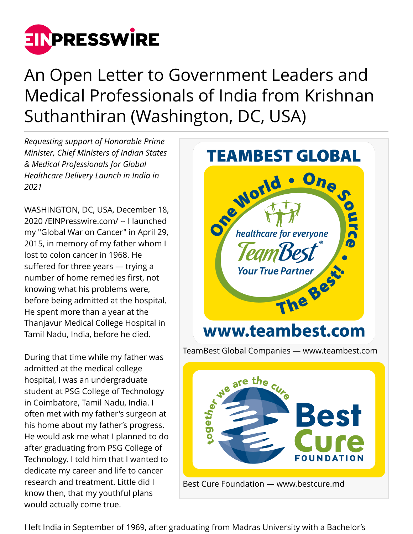

An Open Letter to Government Leaders and Medical Professionals of India from Krishnan Suthanthiran (Washington, DC, USA)

*Requesting support of Honorable Prime Minister, Chief Ministers of Indian States & Medical Professionals for Global Healthcare Delivery Launch in India in 2021*

WASHINGTON, DC, USA, December 18, 2020 /[EINPresswire.com](http://www.einpresswire.com)/ -- I launched my "Global War on Cancer" in April 29, 2015, in memory of my father whom I lost to colon cancer in 1968. He suffered for three years — trying a number of home remedies first, not knowing what his problems were, before being admitted at the hospital. He spent more than a year at the Thanjavur Medical College Hospital in Tamil Nadu, India, before he died.

During that time while my father was admitted at the medical college hospital, I was an undergraduate student at PSG College of Technology in Coimbatore, Tamil Nadu, India. I often met with my father's surgeon at his home about my father's progress. He would ask me what I planned to do after graduating from PSG College of Technology. I told him that I wanted to dedicate my career and life to cancer research and treatment. Little did I know then, that my youthful plans would actually come true.



I left India in September of 1969, after graduating from Madras University with a Bachelor's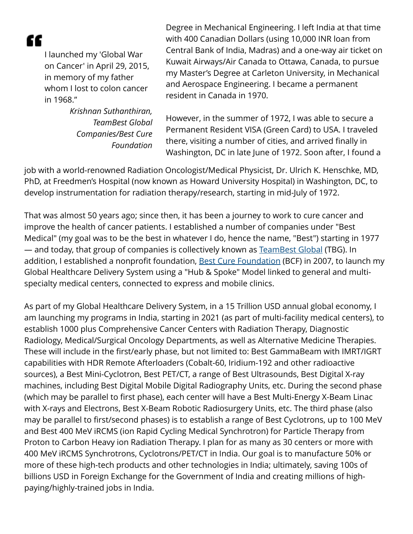"

I launched my 'Global War on Cancer' in April 29, 2015, in memory of my father whom I lost to colon cancer in 1968."

> *Krishnan Suthanthiran, TeamBest Global Companies/Best Cure Foundation*

Degree in Mechanical Engineering. I left India at that time with 400 Canadian Dollars (using 10,000 INR loan from Central Bank of India, Madras) and a one-way air ticket on Kuwait Airways/Air Canada to Ottawa, Canada, to pursue my Master's Degree at Carleton University, in Mechanical and Aerospace Engineering. I became a permanent resident in Canada in 1970.

However, in the summer of 1972, I was able to secure a Permanent Resident VISA (Green Card) to USA. I traveled there, visiting a number of cities, and arrived finally in Washington, DC in late June of 1972. Soon after, I found a

job with a world-renowned Radiation Oncologist/Medical Physicist, Dr. Ulrich K. Henschke, MD, PhD, at Freedmen's Hospital (now known as Howard University Hospital) in Washington, DC, to develop instrumentation for radiation therapy/research, starting in mid-July of 1972.

That was almost 50 years ago; since then, it has been a journey to work to cure cancer and improve the health of cancer patients. I established a number of companies under "Best Medical" (my goal was to be the best in whatever I do, hence the name, "Best") starting in 1977 — and today, that group of companies is collectively known as [TeamBest Global](http://www.teambest.com) (TBG). In addition, I established a nonprofit foundation, [Best Cure Foundation](http://www.bestcure.md) (BCF) in 2007, to launch my Global Healthcare Delivery System using a "Hub & Spoke" Model linked to general and multispecialty medical centers, connected to express and mobile clinics.

As part of my Global Healthcare Delivery System, in a 15 Trillion USD annual global economy, I am launching my programs in India, starting in 2021 (as part of multi-facility medical centers), to establish 1000 plus Comprehensive Cancer Centers with Radiation Therapy, Diagnostic Radiology, Medical/Surgical Oncology Departments, as well as Alternative Medicine Therapies. These will include in the first/early phase, but not limited to: Best GammaBeam with IMRT/IGRT capabilities with HDR Remote Afterloaders (Cobalt-60, Iridium-192 and other radioactive sources), a Best Mini-Cyclotron, Best PET/CT, a range of Best Ultrasounds, Best Digital X-ray machines, including Best Digital Mobile Digital Radiography Units, etc. During the second phase (which may be parallel to first phase), each center will have a Best Multi-Energy X-Beam Linac with X-rays and Electrons, Best X-Beam Robotic Radiosurgery Units, etc. The third phase (also may be parallel to first/second phases) is to establish a range of Best Cyclotrons, up to 100 MeV and Best 400 MeV iRCMS (ion Rapid Cycling Medical Synchrotron) for Particle Therapy from Proton to Carbon Heavy ion Radiation Therapy. I plan for as many as 30 centers or more with 400 MeV iRCMS Synchrotrons, Cyclotrons/PET/CT in India. Our goal is to manufacture 50% or more of these high-tech products and other technologies in India; ultimately, saving 100s of billions USD in Foreign Exchange for the Government of India and creating millions of highpaying/highly-trained jobs in India.